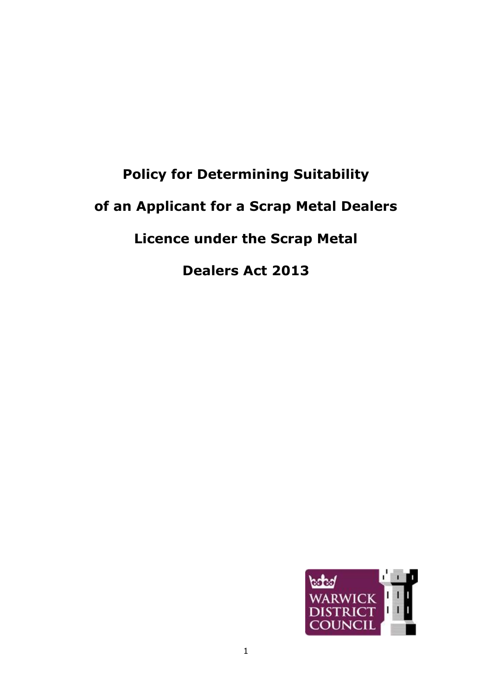# **Policy for Determining Suitability of an Applicant for a Scrap Metal Dealers Licence under the Scrap Metal Dealers Act 2013**

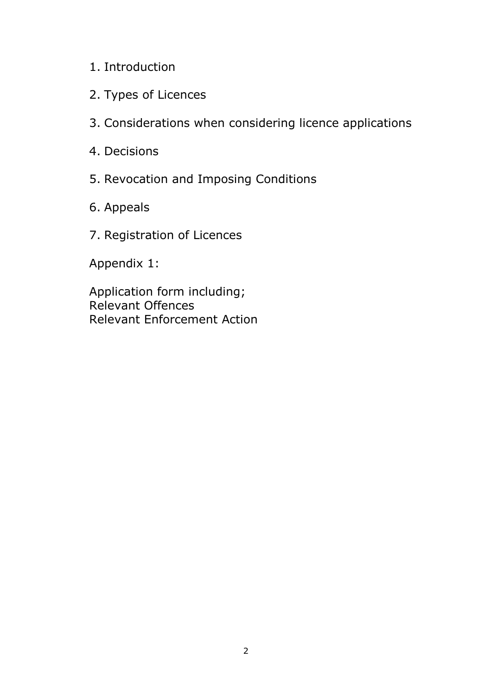## 1. Introduction

- 2. Types of Licences
- 3. Considerations when considering licence applications
- 4. Decisions
- 5. Revocation and Imposing Conditions
- 6. Appeals
- 7. Registration of Licences

Appendix 1:

Application form including; Relevant Offences Relevant Enforcement Action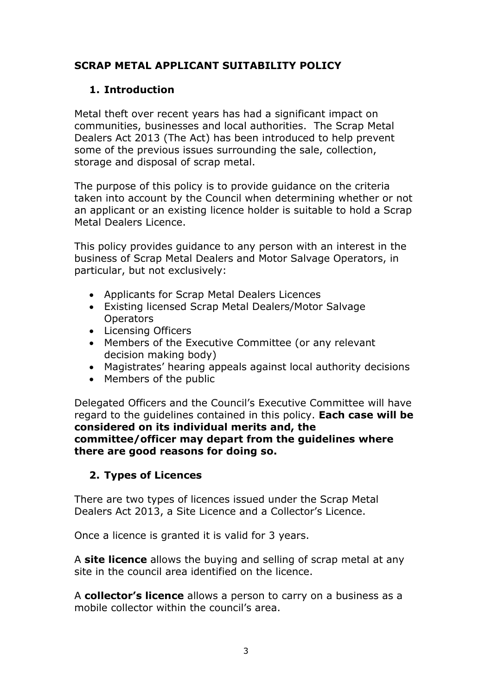### **SCRAP METAL APPLICANT SUITABILITY POLICY**

#### **1. Introduction**

Metal theft over recent years has had a significant impact on communities, businesses and local authorities. The Scrap Metal Dealers Act 2013 (The Act) has been introduced to help prevent some of the previous issues surrounding the sale, collection, storage and disposal of scrap metal.

The purpose of this policy is to provide guidance on the criteria taken into account by the Council when determining whether or not an applicant or an existing licence holder is suitable to hold a Scrap Metal Dealers Licence.

This policy provides guidance to any person with an interest in the business of Scrap Metal Dealers and Motor Salvage Operators, in particular, but not exclusively:

- Applicants for Scrap Metal Dealers Licences
- Existing licensed Scrap Metal Dealers/Motor Salvage **Operators**
- Licensing Officers
- Members of the Executive Committee (or any relevant decision making body)
- Magistrates' hearing appeals against local authority decisions
- Members of the public

Delegated Officers and the Council's Executive Committee will have regard to the guidelines contained in this policy. **Each case will be considered on its individual merits and, the committee/officer may depart from the guidelines where there are good reasons for doing so.**

#### **2. Types of Licences**

There are two types of licences issued under the Scrap Metal Dealers Act 2013, a Site Licence and a Collector's Licence.

Once a licence is granted it is valid for 3 years.

A **site licence** allows the buying and selling of scrap metal at any site in the council area identified on the licence.

A **collector's licence** allows a person to carry on a business as a mobile collector within the council's area.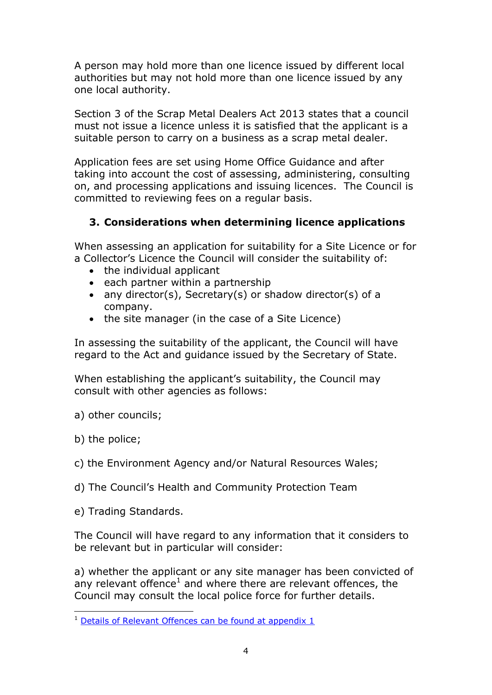A person may hold more than one licence issued by different local authorities but may not hold more than one licence issued by any one local authority.

Section 3 of the Scrap Metal Dealers Act 2013 states that a council must not issue a licence unless it is satisfied that the applicant is a suitable person to carry on a business as a scrap metal dealer.

Application fees are set using Home Office Guidance and after taking into account the cost of assessing, administering, consulting on, and processing applications and issuing licences. The Council is committed to reviewing fees on a regular basis.

### **3. Considerations when determining licence applications**

When assessing an application for suitability for a Site Licence or for a Collector's Licence the Council will consider the suitability of:

- the individual applicant
- $\bullet$  each partner within a partnership
- any director(s), Secretary(s) or shadow director(s) of a company.
- the site manager (in the case of a Site Licence)

In assessing the suitability of the applicant, the Council will have regard to the Act and guidance issued by the Secretary of State.

When establishing the applicant's suitability, the Council may consult with other agencies as follows:

- a) other councils;
- b) the police;
- c) the Environment Agency and/or Natural Resources Wales;
- d) The Council's Health and Community Protection Team
- e) Trading Standards.

The Council will have regard to any information that it considers to be relevant but in particular will consider:

a) whether the applicant or any site manager has been convicted of any relevant offence $<sup>1</sup>$  and where there are relevant offences, the</sup> Council may consult the local police force for further details.

<sup>-</sup><sup>1</sup> [Details of Relevant Offences can be found at appendix 1](https://www.warwickdc.gov.uk/download/downloads/id/501/application_form-scrap_metal)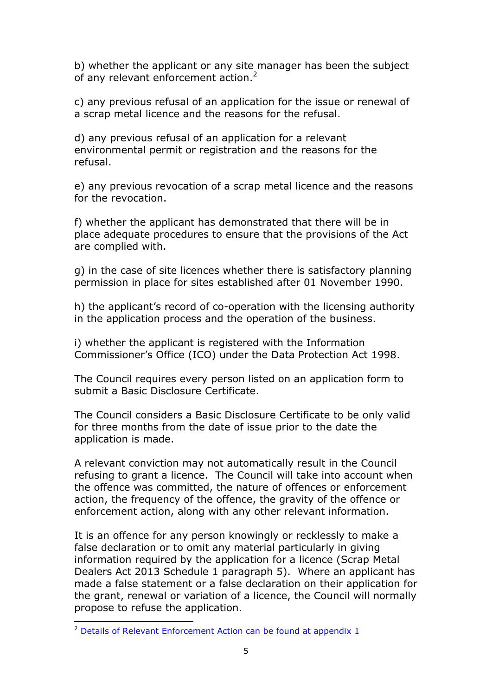b) whether the applicant or any site manager has been the subject of any relevant enforcement action.<sup>2</sup>

c) any previous refusal of an application for the issue or renewal of a scrap metal licence and the reasons for the refusal.

d) any previous refusal of an application for a relevant environmental permit or registration and the reasons for the refusal.

e) any previous revocation of a scrap metal licence and the reasons for the revocation.

f) whether the applicant has demonstrated that there will be in place adequate procedures to ensure that the provisions of the Act are complied with.

g) in the case of site licences whether there is satisfactory planning permission in place for sites established after 01 November 1990.

h) the applicant's record of co-operation with the licensing authority in the application process and the operation of the business.

i) whether the applicant is registered with the Information Commissioner's Office (ICO) under the Data Protection Act 1998.

The Council requires every person listed on an application form to submit a Basic Disclosure Certificate.

The Council considers a Basic Disclosure Certificate to be only valid for three months from the date of issue prior to the date the application is made.

A relevant conviction may not automatically result in the Council refusing to grant a licence. The Council will take into account when the offence was committed, the nature of offences or enforcement action, the frequency of the offence, the gravity of the offence or enforcement action, along with any other relevant information.

It is an offence for any person knowingly or recklessly to make a false declaration or to omit any material particularly in giving information required by the application for a licence (Scrap Metal Dealers Act 2013 Schedule 1 paragraph 5). Where an applicant has made a false statement or a false declaration on their application for the grant, renewal or variation of a licence, the Council will normally propose to refuse the application.

-

<sup>&</sup>lt;sup>2</sup> [Details of Relevant Enforcement Action can be found at appendix 1](https://www.warwickdc.gov.uk/download/downloads/id/501/application_form-scrap_metal)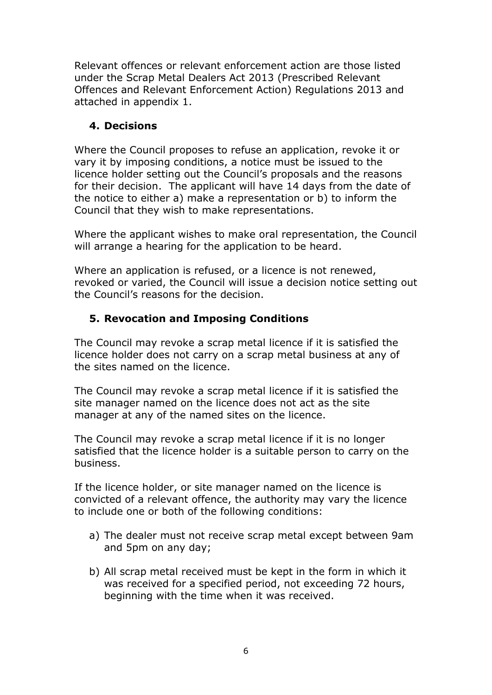Relevant offences or relevant enforcement action are those listed under the Scrap Metal Dealers Act 2013 (Prescribed Relevant Offences and Relevant Enforcement Action) Regulations 2013 and attached in appendix 1.

#### **4. Decisions**

Where the Council proposes to refuse an application, revoke it or vary it by imposing conditions, a notice must be issued to the licence holder setting out the Council's proposals and the reasons for their decision. The applicant will have 14 days from the date of the notice to either a) make a representation or b) to inform the Council that they wish to make representations.

Where the applicant wishes to make oral representation, the Council will arrange a hearing for the application to be heard.

Where an application is refused, or a licence is not renewed, revoked or varied, the Council will issue a decision notice setting out the Council's reasons for the decision.

#### **5. Revocation and Imposing Conditions**

The Council may revoke a scrap metal licence if it is satisfied the licence holder does not carry on a scrap metal business at any of the sites named on the licence.

The Council may revoke a scrap metal licence if it is satisfied the site manager named on the licence does not act as the site manager at any of the named sites on the licence.

The Council may revoke a scrap metal licence if it is no longer satisfied that the licence holder is a suitable person to carry on the business.

If the licence holder, or site manager named on the licence is convicted of a relevant offence, the authority may vary the licence to include one or both of the following conditions:

- a) The dealer must not receive scrap metal except between 9am and 5pm on any day;
- b) All scrap metal received must be kept in the form in which it was received for a specified period, not exceeding 72 hours, beginning with the time when it was received.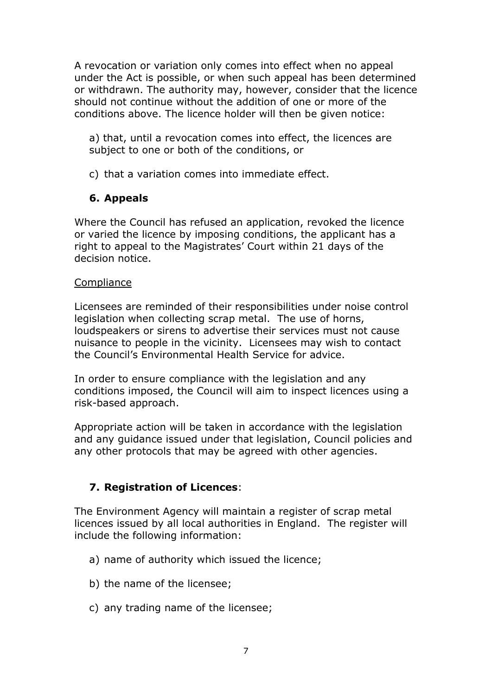A revocation or variation only comes into effect when no appeal under the Act is possible, or when such appeal has been determined or withdrawn. The authority may, however, consider that the licence should not continue without the addition of one or more of the conditions above. The licence holder will then be given notice:

a) that, until a revocation comes into effect, the licences are subject to one or both of the conditions, or

c) that a variation comes into immediate effect.

#### **6. Appeals**

Where the Council has refused an application, revoked the licence or varied the licence by imposing conditions, the applicant has a right to appeal to the Magistrates' Court within 21 days of the decision notice.

#### **Compliance**

Licensees are reminded of their responsibilities under noise control legislation when collecting scrap metal. The use of horns, loudspeakers or sirens to advertise their services must not cause nuisance to people in the vicinity. Licensees may wish to contact the Council's Environmental Health Service for advice.

In order to ensure compliance with the legislation and any conditions imposed, the Council will aim to inspect licences using a risk-based approach.

Appropriate action will be taken in accordance with the legislation and any guidance issued under that legislation, Council policies and any other protocols that may be agreed with other agencies.

### **7. Registration of Licences**:

The Environment Agency will maintain a register of scrap metal licences issued by all local authorities in England. The register will include the following information:

- a) name of authority which issued the licence;
- b) the name of the licensee;
- c) any trading name of the licensee;